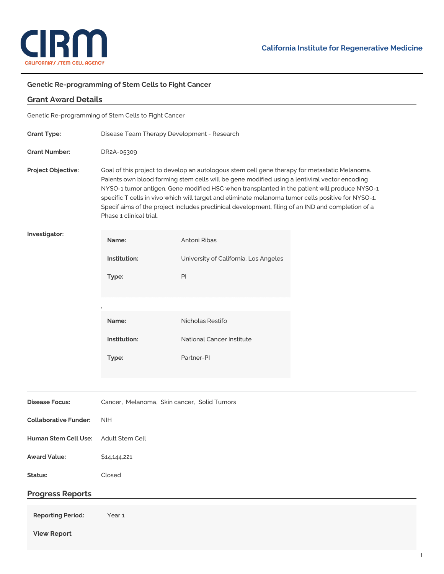

## **Genetic Re-programming of Stem Cells to Fight Cancer**

| <b>Grant Award Details</b>                           |                                                                                                                                                                                                                                                                                                                                                                                                                                                                                                                                      |                                       |  |
|------------------------------------------------------|--------------------------------------------------------------------------------------------------------------------------------------------------------------------------------------------------------------------------------------------------------------------------------------------------------------------------------------------------------------------------------------------------------------------------------------------------------------------------------------------------------------------------------------|---------------------------------------|--|
| Genetic Re-programming of Stem Cells to Fight Cancer |                                                                                                                                                                                                                                                                                                                                                                                                                                                                                                                                      |                                       |  |
| <b>Grant Type:</b>                                   | Disease Team Therapy Development - Research                                                                                                                                                                                                                                                                                                                                                                                                                                                                                          |                                       |  |
| <b>Grant Number:</b>                                 | DR2A-05309                                                                                                                                                                                                                                                                                                                                                                                                                                                                                                                           |                                       |  |
| Project Objective:                                   | Goal of this project to develop an autologous stem cell gene therapy for metastatic Melanoma.<br>Paients own blood forming stem cells will be gene modified using a lentiviral vector encoding<br>NYSO-1 tumor antigen. Gene modified HSC when transplanted in the patient will produce NYSO-1<br>specific T cells in vivo which will target and eliminate melanoma tumor cells positive for NYSO-1.<br>Specif aims of the project includes preclinical development, filing of an IND and completion of a<br>Phase 1 clinical trial. |                                       |  |
| Investigator:                                        | Name:                                                                                                                                                                                                                                                                                                                                                                                                                                                                                                                                | Antoni Ribas                          |  |
|                                                      | Institution:                                                                                                                                                                                                                                                                                                                                                                                                                                                                                                                         | University of California, Los Angeles |  |
|                                                      | Type:                                                                                                                                                                                                                                                                                                                                                                                                                                                                                                                                | PI                                    |  |
|                                                      |                                                                                                                                                                                                                                                                                                                                                                                                                                                                                                                                      |                                       |  |
|                                                      | Name:                                                                                                                                                                                                                                                                                                                                                                                                                                                                                                                                | Nicholas Restifo                      |  |
|                                                      | Institution:                                                                                                                                                                                                                                                                                                                                                                                                                                                                                                                         | National Cancer Institute             |  |
|                                                      | Type:                                                                                                                                                                                                                                                                                                                                                                                                                                                                                                                                | Partner-PI                            |  |
|                                                      |                                                                                                                                                                                                                                                                                                                                                                                                                                                                                                                                      |                                       |  |
| <b>Disease Focus:</b>                                | Cancer, Melanoma, Skin cancer, Solid Tumors                                                                                                                                                                                                                                                                                                                                                                                                                                                                                          |                                       |  |
| <b>Collaborative Funder:</b>                         | <b>NIH</b>                                                                                                                                                                                                                                                                                                                                                                                                                                                                                                                           |                                       |  |
| Human Stem Cell Use:                                 | Adult Stem Cell                                                                                                                                                                                                                                                                                                                                                                                                                                                                                                                      |                                       |  |
| <b>Award Value:</b>                                  | \$14,144,221                                                                                                                                                                                                                                                                                                                                                                                                                                                                                                                         |                                       |  |
| Status:                                              | Closed                                                                                                                                                                                                                                                                                                                                                                                                                                                                                                                               |                                       |  |
| <b>Progress Reports</b>                              |                                                                                                                                                                                                                                                                                                                                                                                                                                                                                                                                      |                                       |  |
| <b>Reporting Period:</b><br><b>View Report</b>       | Year 1                                                                                                                                                                                                                                                                                                                                                                                                                                                                                                                               |                                       |  |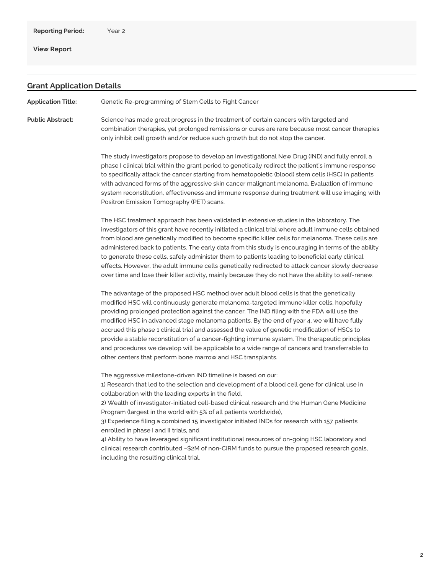**View [Report](https://www.cirm.ca.gov/our-progress/awards/genetic-re-programming-stem-cells-fight-cancer-0#)**

## **Grant Application Details**

**Application Title:** Genetic Re-programming of Stem Cells to Fight Cancer

**Public Abstract:** Science has made great progress in the treatment of certain cancers with targeted and combination therapies, yet prolonged remissions or cures are rare because most cancer therapies only inhibit cell growth and/or reduce such growth but do not stop the cancer.

> The study investigators propose to develop an Investigational New Drug (IND) and fully enroll a phase I clinical trial within the grant period to genetically redirect the patient's immune response to specifically attack the cancer starting from hematopoietic (blood) stem cells (HSC) in patients with advanced forms of the aggressive skin cancer malignant melanoma. Evaluation of immune system reconstitution, effectiveness and immune response during treatment will use imaging with Positron Emission Tomography (PET) scans.

> The HSC treatment approach has been validated in extensive studies in the laboratory. The investigators of this grant have recently initiated a clinical trial where adult immune cells obtained from blood are genetically modified to become specific killer cells for melanoma. These cells are administered back to patients. The early data from this study is encouraging in terms of the ability to generate these cells, safely administer them to patients leading to beneficial early clinical effects. However, the adult immune cells genetically redirected to attack cancer slowly decrease over time and lose their killer activity, mainly because they do not have the ability to self-renew.

The advantage of the proposed HSC method over adult blood cells is that the genetically modified HSC will continuously generate melanoma-targeted immune killer cells, hopefully providing prolonged protection against the cancer. The IND filing with the FDA will use the modified HSC in advanced stage melanoma patients. By the end of year 4, we will have fully accrued this phase 1 clinical trial and assessed the value of genetic modification of HSCs to provide a stable reconstitution of a cancer-fighting immune system. The therapeutic principles and procedures we develop will be applicable to a wide range of cancers and transferrable to other centers that perform bone marrow and HSC transplants.

The aggressive milestone-driven IND timeline is based on our:

1) Research that led to the selection and development of a blood cell gene for clinical use in collaboration with the leading experts in the field,

2) Wealth of investigator-initiated cell-based clinical research and the Human Gene Medicine Program (largest in the world with 5% of all patients worldwide),

3) Experience filing a combined 15 investigator initiated INDs for research with 157 patients enrolled in phase I and II trials, and

4) Ability to have leveraged significant institutional resources of on-going HSC laboratory and clinical research contributed ~\$2M of non-CIRM funds to pursue the proposed research goals, including the resulting clinical trial.